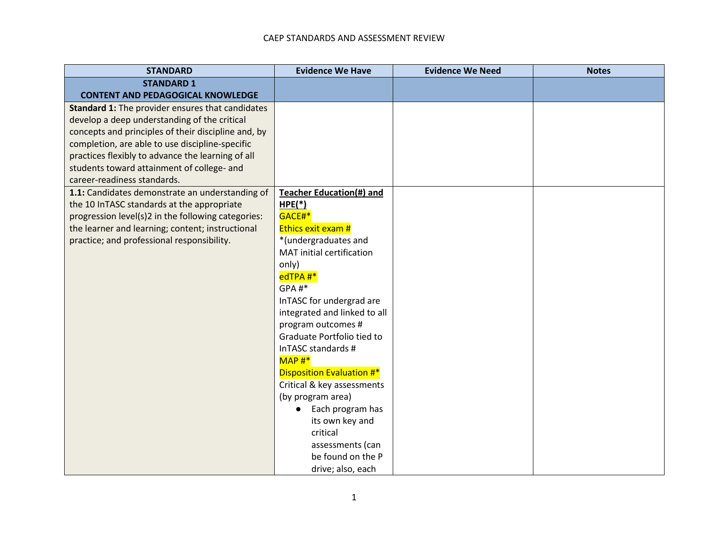| <b>STANDARD</b>                                     | <b>Evidence We Have</b>          | <b>Evidence We Need</b> | <b>Notes</b> |
|-----------------------------------------------------|----------------------------------|-------------------------|--------------|
| <b>STANDARD 1</b>                                   |                                  |                         |              |
| <b>CONTENT AND PEDAGOGICAL KNOWLEDGE</b>            |                                  |                         |              |
| Standard 1: The provider ensures that candidates    |                                  |                         |              |
| develop a deep understanding of the critical        |                                  |                         |              |
| concepts and principles of their discipline and, by |                                  |                         |              |
| completion, are able to use discipline-specific     |                                  |                         |              |
| practices flexibly to advance the learning of all   |                                  |                         |              |
| students toward attainment of college- and          |                                  |                         |              |
| career-readiness standards.                         |                                  |                         |              |
| 1.1: Candidates demonstrate an understanding of     | <b>Teacher Education(#) and</b>  |                         |              |
| the 10 InTASC standards at the appropriate          | $HPE(*)$                         |                         |              |
| progression level(s)2 in the following categories:  | GACE#*                           |                         |              |
| the learner and learning; content; instructional    | Ethics exit exam #               |                         |              |
| practice; and professional responsibility.          | *(undergraduates and             |                         |              |
|                                                     | MAT initial certification        |                         |              |
|                                                     | only)                            |                         |              |
|                                                     | $edTPA$ #*                       |                         |              |
|                                                     | GPA#*                            |                         |              |
|                                                     | InTASC for undergrad are         |                         |              |
|                                                     | integrated and linked to all     |                         |              |
|                                                     | program outcomes #               |                         |              |
|                                                     | Graduate Portfolio tied to       |                         |              |
|                                                     | InTASC standards #               |                         |              |
|                                                     | $MAP #*$                         |                         |              |
|                                                     | <b>Disposition Evaluation #*</b> |                         |              |
|                                                     | Critical & key assessments       |                         |              |
|                                                     | (by program area)                |                         |              |
|                                                     | Each program has<br>$\bullet$    |                         |              |
|                                                     | its own key and                  |                         |              |
|                                                     | critical                         |                         |              |
|                                                     | assessments (can                 |                         |              |
|                                                     | be found on the P                |                         |              |
|                                                     | drive; also, each                |                         |              |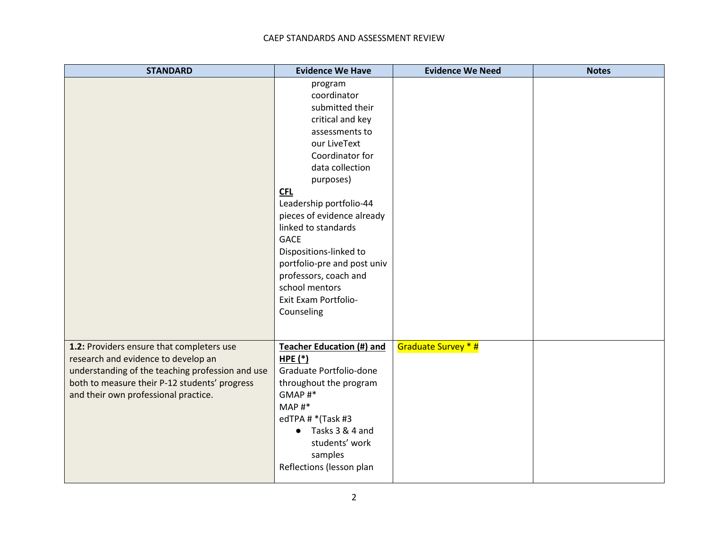| <b>STANDARD</b>                                                                                                                                                                                                               | <b>Evidence We Have</b>                                                                                                                                                                                                                                                                                                                                                                                   | <b>Evidence We Need</b> | <b>Notes</b> |
|-------------------------------------------------------------------------------------------------------------------------------------------------------------------------------------------------------------------------------|-----------------------------------------------------------------------------------------------------------------------------------------------------------------------------------------------------------------------------------------------------------------------------------------------------------------------------------------------------------------------------------------------------------|-------------------------|--------------|
|                                                                                                                                                                                                                               | program<br>coordinator<br>submitted their<br>critical and key<br>assessments to<br>our LiveText<br>Coordinator for<br>data collection<br>purposes)<br><b>CFL</b><br>Leadership portfolio-44<br>pieces of evidence already<br>linked to standards<br><b>GACE</b><br>Dispositions-linked to<br>portfolio-pre and post univ<br>professors, coach and<br>school mentors<br>Exit Exam Portfolio-<br>Counseling |                         |              |
| 1.2: Providers ensure that completers use<br>research and evidence to develop an<br>understanding of the teaching profession and use<br>both to measure their P-12 students' progress<br>and their own professional practice. | <b>Teacher Education (#) and</b><br>HPE $(*)$<br>Graduate Portfolio-done<br>throughout the program<br>GMAP#*<br>MAP# $*$<br>edTPA # *(Task #3<br>$\bullet$ Tasks 3 & 4 and<br>students' work<br>samples<br>Reflections (lesson plan                                                                                                                                                                       | Graduate Survey * #     |              |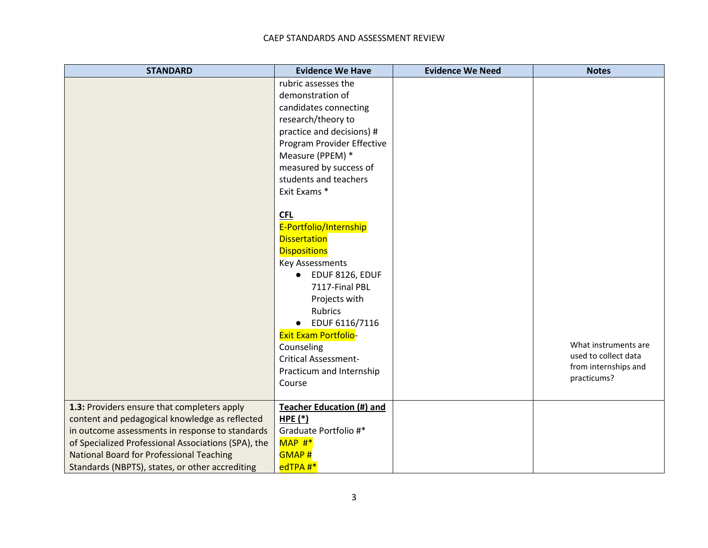| <b>STANDARD</b>                                     | <b>Evidence We Have</b>                       | <b>Evidence We Need</b> | <b>Notes</b>         |
|-----------------------------------------------------|-----------------------------------------------|-------------------------|----------------------|
|                                                     | rubric assesses the                           |                         |                      |
|                                                     | demonstration of                              |                         |                      |
|                                                     | candidates connecting                         |                         |                      |
|                                                     | research/theory to                            |                         |                      |
|                                                     | practice and decisions) #                     |                         |                      |
|                                                     | Program Provider Effective                    |                         |                      |
|                                                     | Measure (PPEM) *                              |                         |                      |
|                                                     | measured by success of                        |                         |                      |
|                                                     | students and teachers                         |                         |                      |
|                                                     | Exit Exams *                                  |                         |                      |
|                                                     |                                               |                         |                      |
|                                                     | <b>CFL</b>                                    |                         |                      |
|                                                     | E-Portfolio/Internship<br><b>Dissertation</b> |                         |                      |
|                                                     | <b>Dispositions</b>                           |                         |                      |
|                                                     | <b>Key Assessments</b>                        |                         |                      |
|                                                     | EDUF 8126, EDUF<br>$\bullet$                  |                         |                      |
|                                                     | 7117-Final PBL                                |                         |                      |
|                                                     | Projects with                                 |                         |                      |
|                                                     | <b>Rubrics</b>                                |                         |                      |
|                                                     | • EDUF 6116/7116                              |                         |                      |
|                                                     | <b>Exit Exam Portfolio-</b>                   |                         |                      |
|                                                     | Counseling                                    |                         | What instruments are |
|                                                     | <b>Critical Assessment-</b>                   |                         | used to collect data |
|                                                     | Practicum and Internship                      |                         | from internships and |
|                                                     | Course                                        |                         | practicums?          |
|                                                     |                                               |                         |                      |
| 1.3: Providers ensure that completers apply         | <b>Teacher Education (#) and</b>              |                         |                      |
| content and pedagogical knowledge as reflected      | $HPE (*)$                                     |                         |                      |
| in outcome assessments in response to standards     | Graduate Portfolio #*                         |                         |                      |
| of Specialized Professional Associations (SPA), the | $MAP #*$                                      |                         |                      |
| National Board for Professional Teaching            | <b>GMAP#</b>                                  |                         |                      |
| Standards (NBPTS), states, or other accrediting     | $edTPA$ #*                                    |                         |                      |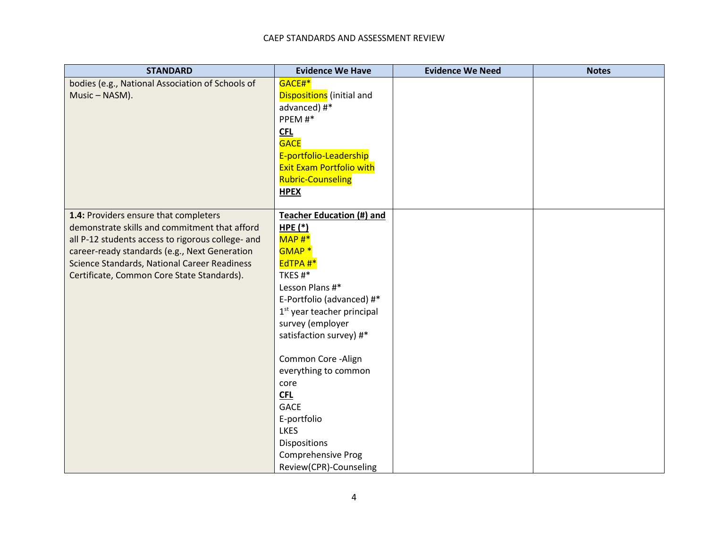| <b>STANDARD</b>                                                                                                                                                                                                                                                                            | <b>Evidence We Have</b>                                                                                                                                                                                                                           | <b>Evidence We Need</b> | <b>Notes</b> |
|--------------------------------------------------------------------------------------------------------------------------------------------------------------------------------------------------------------------------------------------------------------------------------------------|---------------------------------------------------------------------------------------------------------------------------------------------------------------------------------------------------------------------------------------------------|-------------------------|--------------|
| bodies (e.g., National Association of Schools of<br>Music - NASM).                                                                                                                                                                                                                         | GACE#*<br><b>Dispositions</b> (initial and<br>advanced) #*<br>PPEM#*                                                                                                                                                                              |                         |              |
|                                                                                                                                                                                                                                                                                            | <b>CFL</b><br><b>GACE</b><br>E-portfolio-Leadership<br><b>Exit Exam Portfolio with</b><br><b>Rubric-Counseling</b><br><b>HPEX</b>                                                                                                                 |                         |              |
| 1.4: Providers ensure that completers<br>demonstrate skills and commitment that afford<br>all P-12 students access to rigorous college- and<br>career-ready standards (e.g., Next Generation<br>Science Standards, National Career Readiness<br>Certificate, Common Core State Standards). | <b>Teacher Education (#) and</b><br><b>HPE (*)</b><br>$MAP #*$<br>GMAP <sup>*</sup><br>EdTPA#*<br>TKES#*<br>Lesson Plans #*<br>E-Portfolio (advanced) #*<br>1 <sup>st</sup> year teacher principal<br>survey (employer<br>satisfaction survey) #* |                         |              |
|                                                                                                                                                                                                                                                                                            | Common Core - Align<br>everything to common<br>core<br><b>CFL</b><br><b>GACE</b><br>E-portfolio<br><b>LKES</b><br>Dispositions<br><b>Comprehensive Prog</b><br>Review(CPR)-Counseling                                                             |                         |              |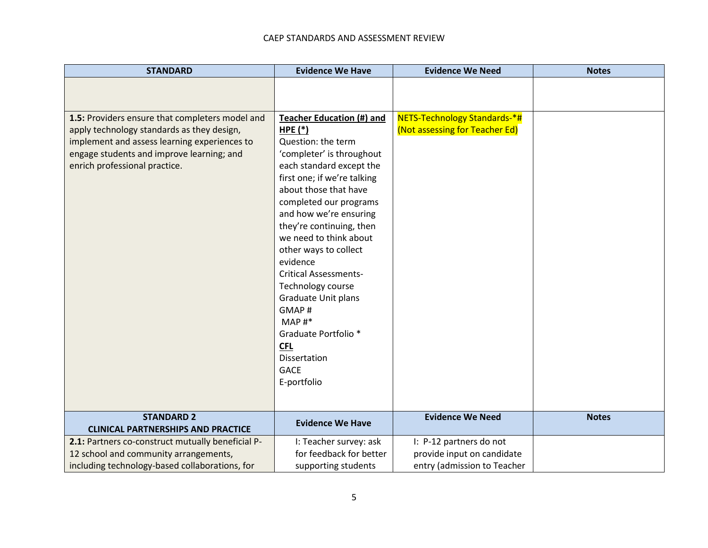| <b>STANDARD</b>                                   | <b>Evidence We Have</b>                  | <b>Evidence We Need</b>        | <b>Notes</b> |
|---------------------------------------------------|------------------------------------------|--------------------------------|--------------|
|                                                   |                                          |                                |              |
|                                                   |                                          |                                |              |
| 1.5: Providers ensure that completers model and   | <b>Teacher Education (#) and</b>         | NETS-Technology Standards-*#   |              |
| apply technology standards as they design,        | <b>HPE (*)</b>                           | (Not assessing for Teacher Ed) |              |
| implement and assess learning experiences to      | Question: the term                       |                                |              |
| engage students and improve learning; and         | 'completer' is throughout                |                                |              |
| enrich professional practice.                     | each standard except the                 |                                |              |
|                                                   | first one; if we're talking              |                                |              |
|                                                   | about those that have                    |                                |              |
|                                                   | completed our programs                   |                                |              |
|                                                   | and how we're ensuring                   |                                |              |
|                                                   | they're continuing, then                 |                                |              |
|                                                   | we need to think about                   |                                |              |
|                                                   | other ways to collect                    |                                |              |
|                                                   | evidence<br><b>Critical Assessments-</b> |                                |              |
|                                                   |                                          |                                |              |
|                                                   | Technology course                        |                                |              |
|                                                   | <b>Graduate Unit plans</b><br>GMAP#      |                                |              |
|                                                   | $MAP #*$                                 |                                |              |
|                                                   | Graduate Portfolio *                     |                                |              |
|                                                   | <b>CFL</b>                               |                                |              |
|                                                   | Dissertation                             |                                |              |
|                                                   | <b>GACE</b>                              |                                |              |
|                                                   | E-portfolio                              |                                |              |
|                                                   |                                          |                                |              |
|                                                   |                                          |                                |              |
| <b>STANDARD 2</b>                                 | <b>Evidence We Have</b>                  | <b>Evidence We Need</b>        | <b>Notes</b> |
| <b>CLINICAL PARTNERSHIPS AND PRACTICE</b>         |                                          |                                |              |
| 2.1: Partners co-construct mutually beneficial P- | I: Teacher survey: ask                   | I: P-12 partners do not        |              |
| 12 school and community arrangements,             | for feedback for better                  | provide input on candidate     |              |
| including technology-based collaborations, for    | supporting students                      | entry (admission to Teacher    |              |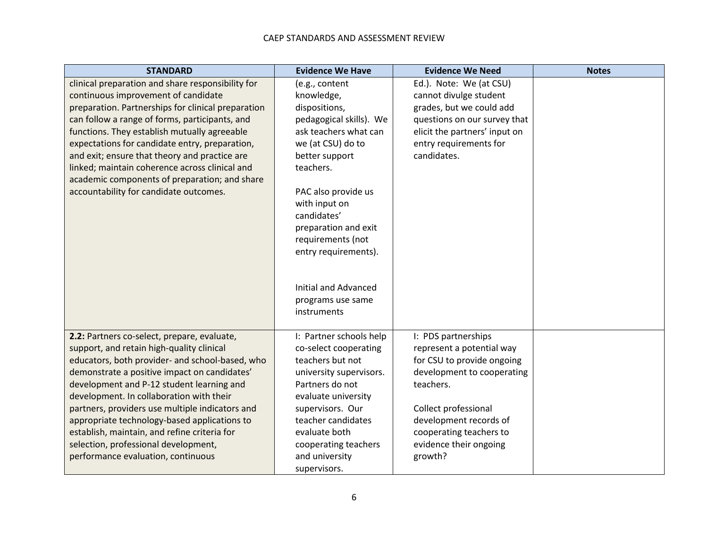| <b>Evidence We Have</b> | <b>Evidence We Need</b>                                                                                                                                                                                                                                                                                                                                                                | <b>Notes</b>                                                                                                                                                                                                                                |
|-------------------------|----------------------------------------------------------------------------------------------------------------------------------------------------------------------------------------------------------------------------------------------------------------------------------------------------------------------------------------------------------------------------------------|---------------------------------------------------------------------------------------------------------------------------------------------------------------------------------------------------------------------------------------------|
| (e.g., content          | Ed.). Note: We (at CSU)                                                                                                                                                                                                                                                                                                                                                                |                                                                                                                                                                                                                                             |
| knowledge,              | cannot divulge student                                                                                                                                                                                                                                                                                                                                                                 |                                                                                                                                                                                                                                             |
| dispositions,           | grades, but we could add                                                                                                                                                                                                                                                                                                                                                               |                                                                                                                                                                                                                                             |
| pedagogical skills). We | questions on our survey that                                                                                                                                                                                                                                                                                                                                                           |                                                                                                                                                                                                                                             |
| ask teachers what can   | elicit the partners' input on                                                                                                                                                                                                                                                                                                                                                          |                                                                                                                                                                                                                                             |
| we (at CSU) do to       | entry requirements for                                                                                                                                                                                                                                                                                                                                                                 |                                                                                                                                                                                                                                             |
| better support          | candidates.                                                                                                                                                                                                                                                                                                                                                                            |                                                                                                                                                                                                                                             |
| teachers.               |                                                                                                                                                                                                                                                                                                                                                                                        |                                                                                                                                                                                                                                             |
|                         |                                                                                                                                                                                                                                                                                                                                                                                        |                                                                                                                                                                                                                                             |
| PAC also provide us     |                                                                                                                                                                                                                                                                                                                                                                                        |                                                                                                                                                                                                                                             |
| with input on           |                                                                                                                                                                                                                                                                                                                                                                                        |                                                                                                                                                                                                                                             |
|                         |                                                                                                                                                                                                                                                                                                                                                                                        |                                                                                                                                                                                                                                             |
| preparation and exit    |                                                                                                                                                                                                                                                                                                                                                                                        |                                                                                                                                                                                                                                             |
|                         |                                                                                                                                                                                                                                                                                                                                                                                        |                                                                                                                                                                                                                                             |
|                         |                                                                                                                                                                                                                                                                                                                                                                                        |                                                                                                                                                                                                                                             |
|                         |                                                                                                                                                                                                                                                                                                                                                                                        |                                                                                                                                                                                                                                             |
|                         |                                                                                                                                                                                                                                                                                                                                                                                        |                                                                                                                                                                                                                                             |
|                         |                                                                                                                                                                                                                                                                                                                                                                                        |                                                                                                                                                                                                                                             |
|                         |                                                                                                                                                                                                                                                                                                                                                                                        |                                                                                                                                                                                                                                             |
|                         |                                                                                                                                                                                                                                                                                                                                                                                        |                                                                                                                                                                                                                                             |
|                         |                                                                                                                                                                                                                                                                                                                                                                                        |                                                                                                                                                                                                                                             |
|                         |                                                                                                                                                                                                                                                                                                                                                                                        |                                                                                                                                                                                                                                             |
|                         |                                                                                                                                                                                                                                                                                                                                                                                        |                                                                                                                                                                                                                                             |
|                         |                                                                                                                                                                                                                                                                                                                                                                                        |                                                                                                                                                                                                                                             |
|                         |                                                                                                                                                                                                                                                                                                                                                                                        |                                                                                                                                                                                                                                             |
|                         |                                                                                                                                                                                                                                                                                                                                                                                        |                                                                                                                                                                                                                                             |
|                         |                                                                                                                                                                                                                                                                                                                                                                                        |                                                                                                                                                                                                                                             |
|                         |                                                                                                                                                                                                                                                                                                                                                                                        |                                                                                                                                                                                                                                             |
|                         |                                                                                                                                                                                                                                                                                                                                                                                        |                                                                                                                                                                                                                                             |
|                         |                                                                                                                                                                                                                                                                                                                                                                                        |                                                                                                                                                                                                                                             |
|                         |                                                                                                                                                                                                                                                                                                                                                                                        |                                                                                                                                                                                                                                             |
|                         |                                                                                                                                                                                                                                                                                                                                                                                        |                                                                                                                                                                                                                                             |
|                         | candidates'<br>requirements (not<br>entry requirements).<br>Initial and Advanced<br>programs use same<br>instruments<br>I: Partner schools help<br>co-select cooperating<br>teachers but not<br>university supervisors.<br>Partners do not<br>evaluate university<br>supervisors. Our<br>teacher candidates<br>evaluate both<br>cooperating teachers<br>and university<br>supervisors. | I: PDS partnerships<br>represent a potential way<br>for CSU to provide ongoing<br>development to cooperating<br>teachers.<br>Collect professional<br>development records of<br>cooperating teachers to<br>evidence their ongoing<br>growth? |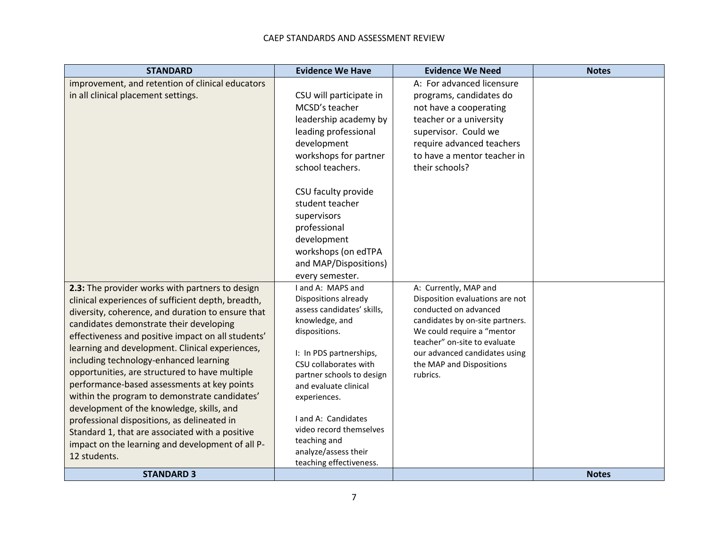| <b>STANDARD</b>                                                                            | <b>Evidence We Have</b>                      | <b>Evidence We Need</b>                                       | <b>Notes</b> |
|--------------------------------------------------------------------------------------------|----------------------------------------------|---------------------------------------------------------------|--------------|
| improvement, and retention of clinical educators                                           |                                              | A: For advanced licensure                                     |              |
| in all clinical placement settings.                                                        | CSU will participate in<br>MCSD's teacher    | programs, candidates do<br>not have a cooperating             |              |
|                                                                                            | leadership academy by                        | teacher or a university                                       |              |
|                                                                                            | leading professional                         | supervisor. Could we                                          |              |
|                                                                                            | development                                  | require advanced teachers                                     |              |
|                                                                                            | workshops for partner                        | to have a mentor teacher in                                   |              |
|                                                                                            | school teachers.                             | their schools?                                                |              |
|                                                                                            | CSU faculty provide                          |                                                               |              |
|                                                                                            | student teacher                              |                                                               |              |
|                                                                                            | supervisors                                  |                                                               |              |
|                                                                                            | professional                                 |                                                               |              |
|                                                                                            | development                                  |                                                               |              |
|                                                                                            | workshops (on edTPA<br>and MAP/Dispositions) |                                                               |              |
|                                                                                            | every semester.                              |                                                               |              |
| 2.3: The provider works with partners to design                                            | I and A: MAPS and                            | A: Currently, MAP and                                         |              |
| clinical experiences of sufficient depth, breadth,                                         | Dispositions already                         | Disposition evaluations are not                               |              |
| diversity, coherence, and duration to ensure that                                          | assess candidates' skills,                   | conducted on advanced                                         |              |
| candidates demonstrate their developing                                                    | knowledge, and<br>dispositions.              | candidates by on-site partners.<br>We could require a "mentor |              |
| effectiveness and positive impact on all students'                                         |                                              | teacher" on-site to evaluate                                  |              |
| learning and development. Clinical experiences,                                            | I: In PDS partnerships,                      | our advanced candidates using                                 |              |
| including technology-enhanced learning                                                     | CSU collaborates with                        | the MAP and Dispositions                                      |              |
| opportunities, are structured to have multiple                                             | partner schools to design                    | rubrics.                                                      |              |
| performance-based assessments at key points                                                | and evaluate clinical                        |                                                               |              |
| within the program to demonstrate candidates'<br>development of the knowledge, skills, and | experiences.                                 |                                                               |              |
| professional dispositions, as delineated in                                                | I and A: Candidates                          |                                                               |              |
| Standard 1, that are associated with a positive                                            | video record themselves                      |                                                               |              |
| impact on the learning and development of all P-                                           | teaching and                                 |                                                               |              |
| 12 students.                                                                               | analyze/assess their                         |                                                               |              |
| <b>STANDARD 3</b>                                                                          | teaching effectiveness.                      |                                                               | <b>Notes</b> |
|                                                                                            |                                              |                                                               |              |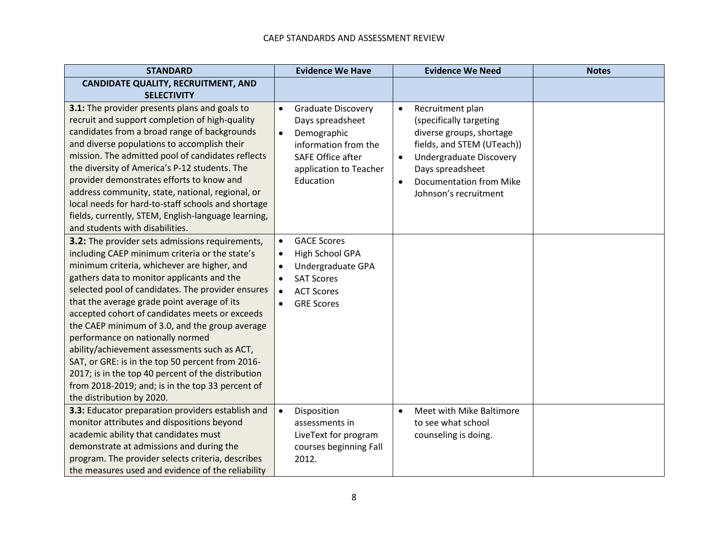| <b>STANDARD</b>                                                                                                                                                                                                                                                                                                                                                                                                                                                                                                                                                                                                                                                                              | <b>Evidence We Have</b>                                                                                                                                                           | <b>Evidence We Need</b>                                                                                                                                                                                                                                | <b>Notes</b> |
|----------------------------------------------------------------------------------------------------------------------------------------------------------------------------------------------------------------------------------------------------------------------------------------------------------------------------------------------------------------------------------------------------------------------------------------------------------------------------------------------------------------------------------------------------------------------------------------------------------------------------------------------------------------------------------------------|-----------------------------------------------------------------------------------------------------------------------------------------------------------------------------------|--------------------------------------------------------------------------------------------------------------------------------------------------------------------------------------------------------------------------------------------------------|--------------|
| <b>CANDIDATE QUALITY, RECRUITMENT, AND</b>                                                                                                                                                                                                                                                                                                                                                                                                                                                                                                                                                                                                                                                   |                                                                                                                                                                                   |                                                                                                                                                                                                                                                        |              |
| <b>SELECTIVITY</b>                                                                                                                                                                                                                                                                                                                                                                                                                                                                                                                                                                                                                                                                           |                                                                                                                                                                                   |                                                                                                                                                                                                                                                        |              |
| 3.1: The provider presents plans and goals to<br>recruit and support completion of high-quality<br>candidates from a broad range of backgrounds<br>and diverse populations to accomplish their<br>mission. The admitted pool of candidates reflects<br>the diversity of America's P-12 students. The<br>provider demonstrates efforts to know and<br>address community, state, national, regional, or<br>local needs for hard-to-staff schools and shortage<br>fields, currently, STEM, English-language learning,<br>and students with disabilities.                                                                                                                                        | <b>Graduate Discovery</b><br>$\bullet$<br>Days spreadsheet<br>Demographic<br>$\bullet$<br>information from the<br><b>SAFE Office after</b><br>application to Teacher<br>Education | Recruitment plan<br>$\bullet$<br>(specifically targeting<br>diverse groups, shortage<br>fields, and STEM (UTeach))<br>Undergraduate Discovery<br>$\bullet$<br>Days spreadsheet<br><b>Documentation from Mike</b><br>$\bullet$<br>Johnson's recruitment |              |
| <b>3.2:</b> The provider sets admissions requirements,<br>including CAEP minimum criteria or the state's<br>minimum criteria, whichever are higher, and<br>gathers data to monitor applicants and the<br>selected pool of candidates. The provider ensures<br>that the average grade point average of its<br>accepted cohort of candidates meets or exceeds<br>the CAEP minimum of 3.0, and the group average<br>performance on nationally normed<br>ability/achievement assessments such as ACT,<br>SAT, or GRE: is in the top 50 percent from 2016-<br>2017; is in the top 40 percent of the distribution<br>from 2018-2019; and; is in the top 33 percent of<br>the distribution by 2020. | <b>GACE Scores</b><br>$\bullet$<br>High School GPA<br>$\bullet$<br>Undergraduate GPA<br>$\bullet$<br><b>SAT Scores</b><br>$\bullet$<br><b>ACT Scores</b><br><b>GRE Scores</b>     |                                                                                                                                                                                                                                                        |              |
| 3.3: Educator preparation providers establish and<br>monitor attributes and dispositions beyond<br>academic ability that candidates must<br>demonstrate at admissions and during the<br>program. The provider selects criteria, describes<br>the measures used and evidence of the reliability                                                                                                                                                                                                                                                                                                                                                                                               | Disposition<br>$\bullet$<br>assessments in<br>LiveText for program<br>courses beginning Fall<br>2012.                                                                             | Meet with Mike Baltimore<br>$\bullet$<br>to see what school<br>counseling is doing.                                                                                                                                                                    |              |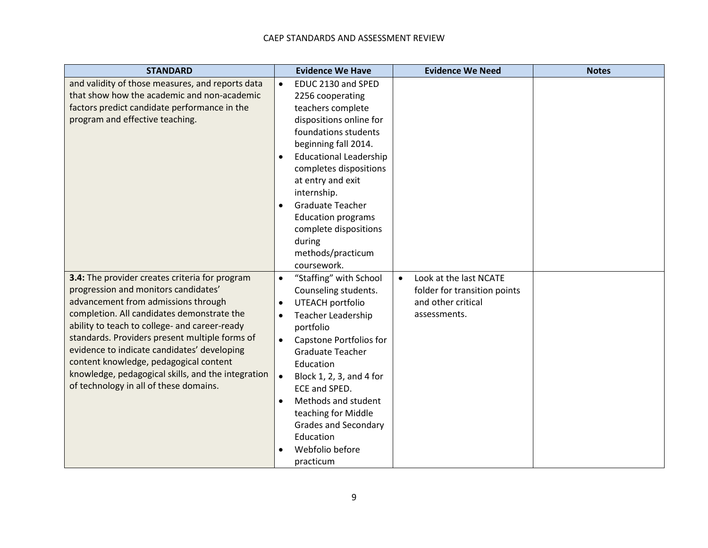| <b>STANDARD</b>                                                                              | <b>Evidence We Have</b>               | <b>Evidence We Need</b>             | <b>Notes</b> |
|----------------------------------------------------------------------------------------------|---------------------------------------|-------------------------------------|--------------|
| and validity of those measures, and reports data                                             | EDUC 2130 and SPED<br>$\bullet$       |                                     |              |
| that show how the academic and non-academic                                                  | 2256 cooperating                      |                                     |              |
| factors predict candidate performance in the                                                 | teachers complete                     |                                     |              |
| program and effective teaching.                                                              | dispositions online for               |                                     |              |
|                                                                                              | foundations students                  |                                     |              |
|                                                                                              | beginning fall 2014.                  |                                     |              |
|                                                                                              | <b>Educational Leadership</b>         |                                     |              |
|                                                                                              | completes dispositions                |                                     |              |
|                                                                                              | at entry and exit                     |                                     |              |
|                                                                                              | internship.                           |                                     |              |
|                                                                                              | <b>Graduate Teacher</b>               |                                     |              |
|                                                                                              | <b>Education programs</b>             |                                     |              |
|                                                                                              | complete dispositions                 |                                     |              |
|                                                                                              | during                                |                                     |              |
|                                                                                              | methods/practicum                     |                                     |              |
|                                                                                              | coursework.                           |                                     |              |
| 3.4: The provider creates criteria for program                                               | "Staffing" with School<br>$\bullet$   | Look at the last NCATE<br>$\bullet$ |              |
| progression and monitors candidates'                                                         | Counseling students.                  | folder for transition points        |              |
| advancement from admissions through                                                          | UTEACH portfolio                      | and other critical                  |              |
| completion. All candidates demonstrate the                                                   | <b>Teacher Leadership</b>             | assessments.                        |              |
| ability to teach to college- and career-ready                                                | portfolio                             |                                     |              |
| standards. Providers present multiple forms of                                               | Capstone Portfolios for               |                                     |              |
| evidence to indicate candidates' developing                                                  | <b>Graduate Teacher</b>               |                                     |              |
| content knowledge, pedagogical content                                                       | Education                             |                                     |              |
| knowledge, pedagogical skills, and the integration<br>of technology in all of these domains. | Block 1, 2, 3, and 4 for<br>$\bullet$ |                                     |              |
|                                                                                              | ECE and SPED.                         |                                     |              |
|                                                                                              | Methods and student<br>$\bullet$      |                                     |              |
|                                                                                              | teaching for Middle                   |                                     |              |
|                                                                                              | <b>Grades and Secondary</b>           |                                     |              |
|                                                                                              | Education                             |                                     |              |
|                                                                                              | Webfolio before                       |                                     |              |
|                                                                                              | practicum                             |                                     |              |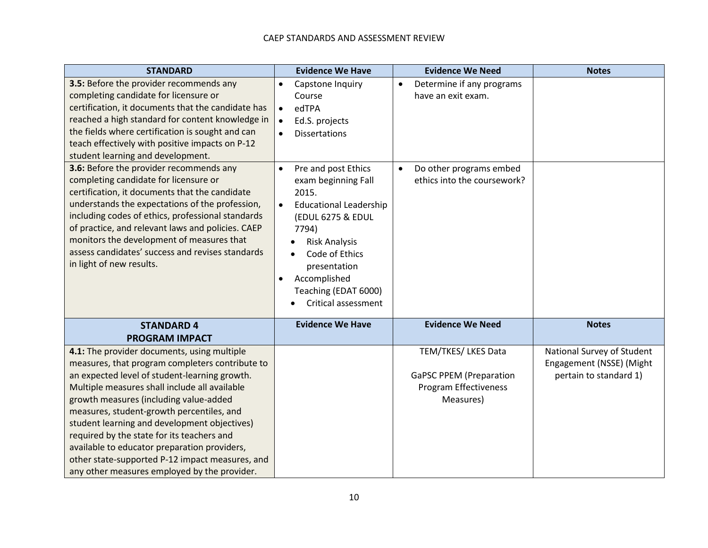| <b>STANDARD</b>                                                                                                                                                                                                                                                                                                                                                                                                                                                                          | <b>Evidence We Have</b>                                                                                                                                                                                                                                                                              | <b>Evidence We Need</b>                                                                     | <b>Notes</b>                                                                     |
|------------------------------------------------------------------------------------------------------------------------------------------------------------------------------------------------------------------------------------------------------------------------------------------------------------------------------------------------------------------------------------------------------------------------------------------------------------------------------------------|------------------------------------------------------------------------------------------------------------------------------------------------------------------------------------------------------------------------------------------------------------------------------------------------------|---------------------------------------------------------------------------------------------|----------------------------------------------------------------------------------|
| 3.5: Before the provider recommends any<br>completing candidate for licensure or<br>certification, it documents that the candidate has<br>reached a high standard for content knowledge in<br>the fields where certification is sought and can<br>teach effectively with positive impacts on P-12<br>student learning and development.                                                                                                                                                   | Capstone Inquiry<br>$\bullet$<br>Course<br>edTPA<br>$\bullet$<br>Ed.S. projects<br>$\bullet$<br><b>Dissertations</b><br>$\bullet$                                                                                                                                                                    | Determine if any programs<br>$\bullet$<br>have an exit exam.                                |                                                                                  |
| 3.6: Before the provider recommends any<br>completing candidate for licensure or<br>certification, it documents that the candidate<br>understands the expectations of the profession,<br>including codes of ethics, professional standards<br>of practice, and relevant laws and policies. CAEP<br>monitors the development of measures that<br>assess candidates' success and revises standards<br>in light of new results.                                                             | Pre and post Ethics<br>$\bullet$<br>exam beginning Fall<br>2015.<br><b>Educational Leadership</b><br>$\bullet$<br>(EDUL 6275 & EDUL<br>7794)<br><b>Risk Analysis</b><br>٠<br>Code of Ethics<br>$\bullet$<br>presentation<br>Accomplished<br>$\bullet$<br>Teaching (EDAT 6000)<br>Critical assessment | Do other programs embed<br>ethics into the coursework?                                      |                                                                                  |
| <b>STANDARD 4</b>                                                                                                                                                                                                                                                                                                                                                                                                                                                                        | <b>Evidence We Have</b>                                                                                                                                                                                                                                                                              | <b>Evidence We Need</b>                                                                     | <b>Notes</b>                                                                     |
| <b>PROGRAM IMPACT</b>                                                                                                                                                                                                                                                                                                                                                                                                                                                                    |                                                                                                                                                                                                                                                                                                      |                                                                                             |                                                                                  |
| 4.1: The provider documents, using multiple<br>measures, that program completers contribute to<br>an expected level of student-learning growth.<br>Multiple measures shall include all available<br>growth measures (including value-added<br>measures, student-growth percentiles, and<br>student learning and development objectives)<br>required by the state for its teachers and<br>available to educator preparation providers,<br>other state-supported P-12 impact measures, and |                                                                                                                                                                                                                                                                                                      | TEM/TKES/ LKES Data<br><b>GaPSC PPEM (Preparation</b><br>Program Effectiveness<br>Measures) | National Survey of Student<br>Engagement (NSSE) (Might<br>pertain to standard 1) |
| any other measures employed by the provider.                                                                                                                                                                                                                                                                                                                                                                                                                                             |                                                                                                                                                                                                                                                                                                      |                                                                                             |                                                                                  |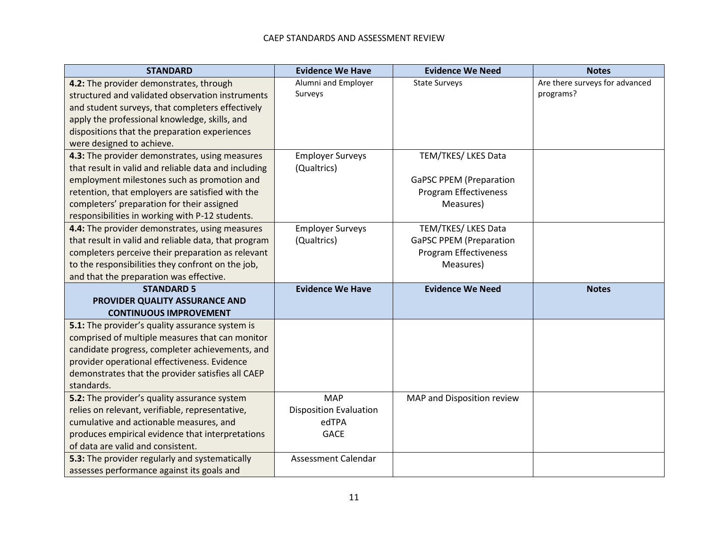| <b>STANDARD</b>                                      | <b>Evidence We Have</b>       | <b>Evidence We Need</b>        | <b>Notes</b>                   |
|------------------------------------------------------|-------------------------------|--------------------------------|--------------------------------|
| 4.2: The provider demonstrates, through              | Alumni and Employer           | <b>State Surveys</b>           | Are there surveys for advanced |
| structured and validated observation instruments     | Surveys                       |                                | programs?                      |
| and student surveys, that completers effectively     |                               |                                |                                |
| apply the professional knowledge, skills, and        |                               |                                |                                |
| dispositions that the preparation experiences        |                               |                                |                                |
| were designed to achieve.                            |                               |                                |                                |
| 4.3: The provider demonstrates, using measures       | <b>Employer Surveys</b>       | TEM/TKES/ LKES Data            |                                |
| that result in valid and reliable data and including | (Qualtrics)                   |                                |                                |
| employment milestones such as promotion and          |                               | <b>GaPSC PPEM (Preparation</b> |                                |
| retention, that employers are satisfied with the     |                               | Program Effectiveness          |                                |
| completers' preparation for their assigned           |                               | Measures)                      |                                |
| responsibilities in working with P-12 students.      |                               |                                |                                |
| 4.4: The provider demonstrates, using measures       | <b>Employer Surveys</b>       | TEM/TKES/ LKES Data            |                                |
| that result in valid and reliable data, that program | (Qualtrics)                   | <b>GaPSC PPEM (Preparation</b> |                                |
| completers perceive their preparation as relevant    |                               | Program Effectiveness          |                                |
| to the responsibilities they confront on the job,    |                               | Measures)                      |                                |
| and that the preparation was effective.              |                               |                                |                                |
| <b>STANDARD 5</b>                                    | <b>Evidence We Have</b>       | <b>Evidence We Need</b>        | <b>Notes</b>                   |
| PROVIDER QUALITY ASSURANCE AND                       |                               |                                |                                |
| <b>CONTINUOUS IMPROVEMENT</b>                        |                               |                                |                                |
| 5.1: The provider's quality assurance system is      |                               |                                |                                |
| comprised of multiple measures that can monitor      |                               |                                |                                |
| candidate progress, completer achievements, and      |                               |                                |                                |
| provider operational effectiveness. Evidence         |                               |                                |                                |
| demonstrates that the provider satisfies all CAEP    |                               |                                |                                |
| standards.                                           |                               |                                |                                |
| 5.2: The provider's quality assurance system         | <b>MAP</b>                    | MAP and Disposition review     |                                |
| relies on relevant, verifiable, representative,      | <b>Disposition Evaluation</b> |                                |                                |
| cumulative and actionable measures, and              | edTPA                         |                                |                                |
| produces empirical evidence that interpretations     | <b>GACE</b>                   |                                |                                |
| of data are valid and consistent.                    |                               |                                |                                |
| 5.3: The provider regularly and systematically       | Assessment Calendar           |                                |                                |
| assesses performance against its goals and           |                               |                                |                                |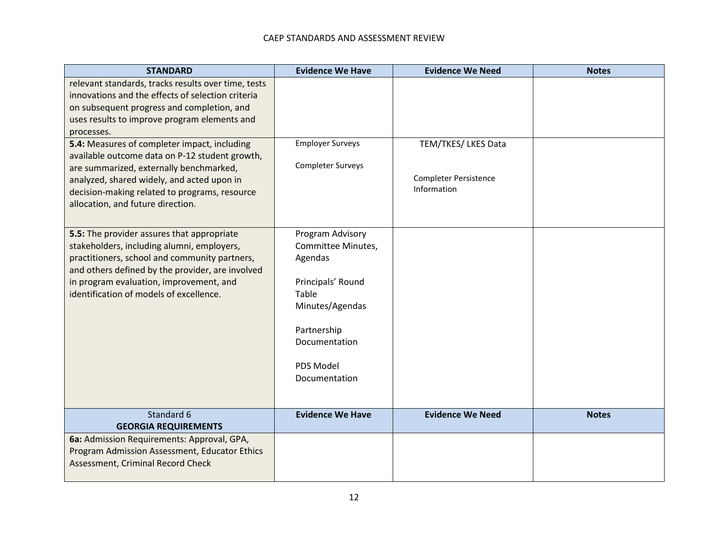| <b>STANDARD</b>                                            | <b>Evidence We Have</b> | <b>Evidence We Need</b>      | <b>Notes</b> |
|------------------------------------------------------------|-------------------------|------------------------------|--------------|
| relevant standards, tracks results over time, tests        |                         |                              |              |
| innovations and the effects of selection criteria          |                         |                              |              |
| on subsequent progress and completion, and                 |                         |                              |              |
| uses results to improve program elements and               |                         |                              |              |
| processes.<br>5.4: Measures of completer impact, including | <b>Employer Surveys</b> | TEM/TKES/ LKES Data          |              |
| available outcome data on P-12 student growth,             |                         |                              |              |
| are summarized, externally benchmarked,                    | Completer Surveys       |                              |              |
| analyzed, shared widely, and acted upon in                 |                         | <b>Completer Persistence</b> |              |
| decision-making related to programs, resource              |                         | Information                  |              |
| allocation, and future direction.                          |                         |                              |              |
|                                                            |                         |                              |              |
| 5.5: The provider assures that appropriate                 | Program Advisory        |                              |              |
| stakeholders, including alumni, employers,                 | Committee Minutes,      |                              |              |
| practitioners, school and community partners,              | Agendas                 |                              |              |
| and others defined by the provider, are involved           |                         |                              |              |
| in program evaluation, improvement, and                    | Principals' Round       |                              |              |
| identification of models of excellence.                    | Table                   |                              |              |
|                                                            | Minutes/Agendas         |                              |              |
|                                                            | Partnership             |                              |              |
|                                                            | Documentation           |                              |              |
|                                                            |                         |                              |              |
|                                                            | <b>PDS Model</b>        |                              |              |
|                                                            | Documentation           |                              |              |
|                                                            |                         |                              |              |
| Standard 6                                                 | <b>Evidence We Have</b> | <b>Evidence We Need</b>      | <b>Notes</b> |
| <b>GEORGIA REQUIREMENTS</b>                                |                         |                              |              |
| 6a: Admission Requirements: Approval, GPA,                 |                         |                              |              |
| Program Admission Assessment, Educator Ethics              |                         |                              |              |
| Assessment, Criminal Record Check                          |                         |                              |              |
|                                                            |                         |                              |              |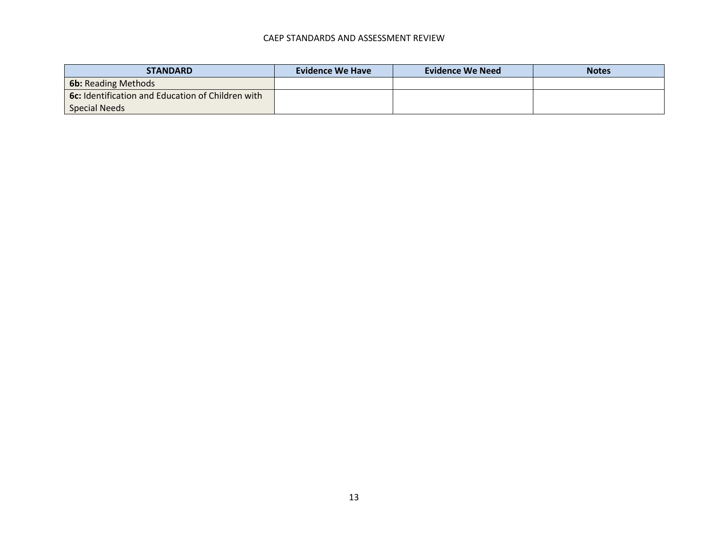| <b>STANDARD</b>                                          | <b>Evidence We Have</b> | Evidence We Need | <b>Notes</b> |
|----------------------------------------------------------|-------------------------|------------------|--------------|
| <b>6b:</b> Reading Methods                               |                         |                  |              |
| <b>6c:</b> Identification and Education of Children with |                         |                  |              |
| <b>Special Needs</b>                                     |                         |                  |              |